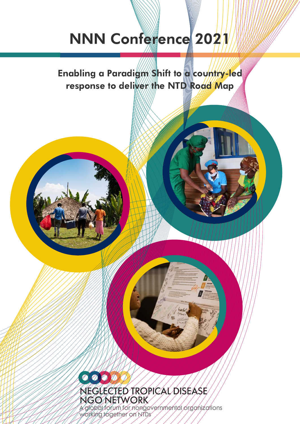# NNN Conference 2021

Enabling a Paradigm Shift to a country-led response to deliver the NTD Road Map

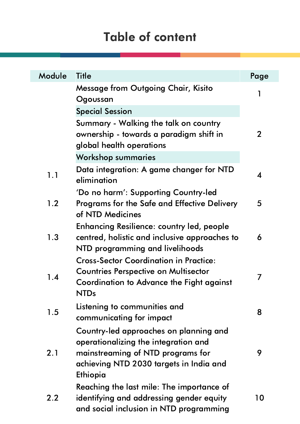| Module | <b>Title</b>                                                                                                                                                               | Page         |
|--------|----------------------------------------------------------------------------------------------------------------------------------------------------------------------------|--------------|
|        | <b>Message from Outgoing Chair, Kisito</b><br>Ogoussan                                                                                                                     | 1            |
|        | <b>Special Session</b>                                                                                                                                                     |              |
|        | Summary - Walking the talk on country<br>ownership - towards a paradigm shift in<br>global health operations                                                               | $\mathbf{2}$ |
|        | <b>Workshop summaries</b>                                                                                                                                                  |              |
| 1.1    | Data integration: A game changer for NTD<br>elimination                                                                                                                    | 4            |
| 1.2    | 'Do no harm': Supporting Country-led<br><b>Programs for the Safe and Effective Delivery</b><br>of NTD Medicines                                                            | 5            |
| 1.3    | <b>Enhancing Resilience: country led, people</b><br>centred, holistic and inclusive approaches to<br>NTD programming and livelihoods                                       | 6            |
| 1.4    | <b>Cross-Sector Coordination in Practice:</b><br><b>Countries Perspective on Multisector</b><br>Coordination to Advance the Fight against<br><b>NTDs</b>                   | 7            |
| 1.5    | Listening to communities and<br>communicating for impact                                                                                                                   | 8            |
| 2.1    | Country-led approaches on planning and<br>operationalizing the integration and<br>mainstreaming of NTD programs for<br>achieving NTD 2030 targets in India and<br>Ethiopia | 9            |
| 2.2    | Reaching the last mile: The importance of<br>identifying and addressing gender equity<br>and social inclusion in NTD programming                                           | 10           |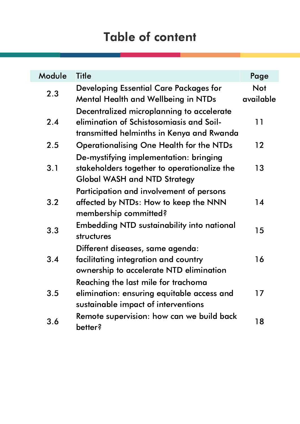| Module  | <b>Title</b>                                                                                                                       | Page                    |
|---------|------------------------------------------------------------------------------------------------------------------------------------|-------------------------|
| 2.3     | <b>Developing Essential Care Packages for</b><br><b>Mental Health and Wellbeing in NTDs</b>                                        | <b>Not</b><br>available |
| 2.4     | Decentralized microplanning to accelerate<br>elimination of Schistosomiasis and Soil-<br>transmitted helminths in Kenya and Rwanda | 11                      |
| 2.5     | <b>Operationalising One Health for the NTDs</b>                                                                                    | $12 \,$                 |
| 3.1     | De-mystifying implementation: bringing<br>stakeholders together to operationalize the<br><b>Global WASH and NTD Strategy</b>       | 13                      |
| 3.2     | Participation and involvement of persons<br>affected by NTDs: How to keep the NNN<br>membership committed?                         | 14                      |
| 3.3     | <b>Embedding NTD sustainability into national</b><br>structures                                                                    | 15                      |
| 3.4     | Different diseases, same agenda:<br>facilitating integration and country<br>ownership to accelerate NTD elimination                | 16                      |
| $3.5\,$ | Reaching the last mile for trachoma<br>elimination: ensuring equitable access and<br>sustainable impact of interventions           | 17                      |
| 3.6     | Remote supervision: how can we build back<br>better?                                                                               | 18                      |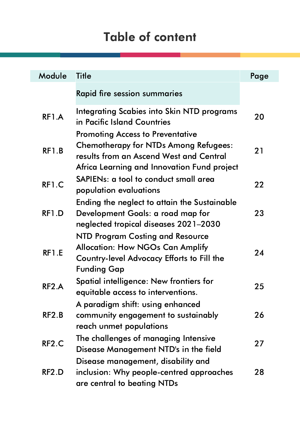| Module             | <b>Title</b>                                                                                                                                                                      | Page |
|--------------------|-----------------------------------------------------------------------------------------------------------------------------------------------------------------------------------|------|
|                    | <b>Rapid fire session summaries</b>                                                                                                                                               |      |
| RF1.A              | <b>Integrating Scabies into Skin NTD programs</b><br>in Pacific Island Countries                                                                                                  | 20   |
| RF1.B              | <b>Promoting Access to Preventative</b><br><b>Chemotherapy for NTDs Among Refugees:</b><br>results from an Ascend West and Central<br>Africa Learning and Innovation Fund project | 21   |
| RF1.C              | SAPIENs: a tool to conduct small area<br>population evaluations                                                                                                                   | 22   |
| RF1.D              | Ending the neglect to attain the Sustainable<br>Development Goals: a road map for<br>neglected tropical diseases 2021–2030                                                        | 23   |
| RF1.E              | <b>NTD Program Costing and Resource</b><br><b>Allocation: How NGOs Can Amplify</b><br><b>Country-level Advocacy Efforts to Fill the</b><br><b>Funding Gap</b>                     | 24   |
| RF2.A              | Spatial intelligence: New frontiers for<br>equitable access to interventions                                                                                                      | 25   |
| RF2.B              | A paradigm shift: using enhanced<br>community engagement to sustainably<br>reach unmet populations                                                                                | 26   |
| RF <sub>2</sub> .C | The challenges of managing Intensive<br>Disease Management NTD's in the field                                                                                                     | 27   |
| RF2.D              | Disease management, disability and<br>inclusion: Why people-centred approaches<br>are central to beating NTDs                                                                     | 28   |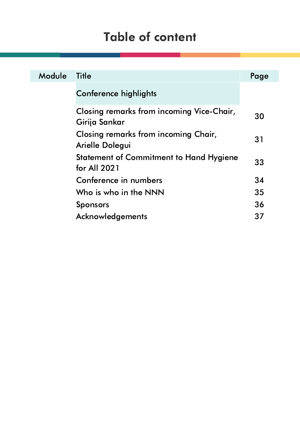| Module | <b>Title</b>                                                   | Page |
|--------|----------------------------------------------------------------|------|
|        | <b>Conference highlights</b>                                   |      |
|        | Closing remarks from incoming Vice-Chair,<br>Girija Sankar     | 30   |
|        | Closing remarks from incoming Chair,<br>Arielle Dolegui        | 31   |
|        | <b>Statement of Commitment to Hand Hygiene</b><br>for All 2021 | 33   |
|        | Conference in numbers                                          | 34   |
|        | Who is who in the NNN                                          | 35   |
|        | <b>Sponsors</b>                                                | 36   |
|        | Acknowledgements                                               | 37   |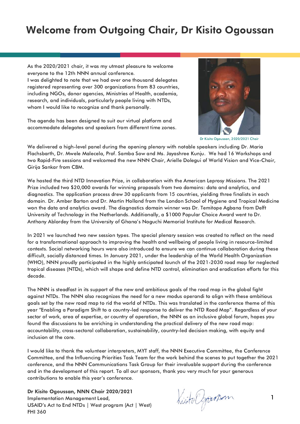## Welcome from Outgoing Chair, Dr Kisito Ogoussan

As the 2020/2021 chair, it was my utmost pleasure to welcome everyone to the 12th NNN annual conference. I was delighted to note that we had over one thousand delegates registered representing over 300 organizations from 83 countries,

including NGOs, donor agencies, Ministries of Health, academia, research, and individuals, particularly people living with NTDs, whom I would like to recognize and thank personally.

The agenda has been designed to suit our virtual platform and accommodate delegates and speakers from different time zones.



Dr Kisito Ogoussan, 2020/2021 Chair

We delivered a high-level panel during the opening plenary with notable speakers including Dr. Maria Flachsbarth, Dr. Mwele Malecela, Prof. Samba Sow and Ms. Jayashree Kunju. We had 16 Workshops and two Rapid-Fire sessions and welcomed the new NNN Chair, Arielle Dolegui of World Vision and Vice-Chair, Girija Sankar from CBM.

We hosted the third NTD Innovation Prize, in collaboration with the American Leprosy Missions. The 2021 Prize included two \$20,000 awards for winning proposals from two domains: data and analytics, and diagnostics. The application process drew 30 applicants from 15 countries, yielding three finalists in each domain. Dr. Amber Barton and Dr. Martin Holland from the London School of Hygiene and Tropical Medicine won the data and analytics award. The diagnostics domain winner was Dr. Temitope Agbana from Delft University of Technology in the Netherlands. Additionally, a \$1000 Popular Choice Award went to Dr. Anthony Ablordey from the University of Ghana's Noguchi Memorial Institute for Medical Research.

In 2021 we launched two new session types. The special plenary session was created to reflect on the need for a transformational approach to improving the health and wellbeing of people living in resource-limited contexts. Social networking hours were also introduced to ensure we can continue collaboration during these difficult, socially distanced times. In January 2021, under the leadership of the World Health Organization (WHO), NNN proudly participated in the highly anticipated launch of the [2021-2030](https://www.who.int/publications/i/item/9789240010352) road map for neglected tropical diseases (NTDs), which will shape and define NTD control, elimination and eradication efforts for this decade.

The NNN is steadfast in its support of the new and ambitious goals of the road map in the global fight against NTDs. The NNN also recognizes the need for a new modus operandi to align with these ambitious goals set by the new road map to rid the world of NTDs. This was translated in the conference theme of this year "Enabling a Paradigm Shift to a country-led response to deliver the NTD Road Map". Regardless of your sector of work, area of expertise, or country of operation, the NNN as an inclusive global forum, hopes you found the discussions to be enriching in understanding the practical delivery of the new road map: accountability, cross-sectoral collaboration, sustainability, country-led decision making, with equity and inclusion at the core.

I would like to thank the volunteer interpreters, MYT staff, the NNN Executive Committee, the Conference Committee, and the Influencing Priorities Task Team for the work behind the scenes to put together the 2021 conference, and the NNN Communications Task Group for their invaluable support during the conference and in the development of this report. To all our sponsors, thank you very much for your generous contributions to enable this year's conference.

Dr Kisito Ogoussan, NNN Chair 2020/2021 Implementation Management Lead, USAID's Act to End NTDs | West program (Act | West) FHI 360

Kisto Ogoum

1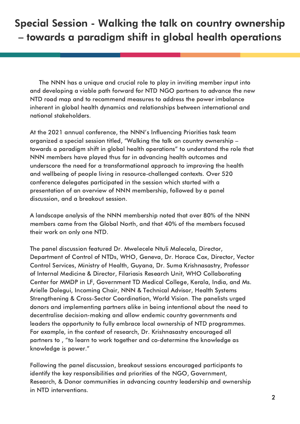## Special Session - Walking the talk on country ownership – towards a paradigm shift in global health operations

The NNN has a unique and crucial role to play in inviting member input into and developing a viable path forward for NTD NGO partners to advance the new NTD road map and to recommend measures to address the power imbalance inherent in global health dynamics and relationships between international and national stakeholders.

At the 2021 annual conference, the NNN's Influencing Priorities task team organized a special session titled, "Walking the talk on country ownership – towards a paradigm shift in global health operations" to understand the role that NNN members have played thus far in advancing health outcomes and underscore the need for a transformational approach to improving the health and wellbeing of people living in resource-challenged contexts. Over 520 conference delegates participated in the session which started with a presentation of an overview of NNN membership, followed by a panel discussion, and a breakout session.

A landscape analysis of the NNN membership noted that over 80% of the NNN members came from the Global North, and that 40% of the members focused their work on only one NTD.

The panel discussion featured Dr. Mwelecele Ntuli Malecela, Director, Department of Control of NTDs, WHO, Geneva, Dr. Horace Cox, Director, Vector Control Services, Ministry of Health, Guyana, Dr. Suma Krishnasastry, Professor of Internal Medicine & Director, Filariasis Research Unit, WHO Collaborating Center for MMDP in LF, Government TD Medical College, Kerala, India, and Ms. Arielle Dolegui, Incoming Chair, NNN & Technical Advisor, Health Systems Strengthening & Cross-Sector Coordination, World Vision. The panelists urged donors and implementing partners alike in being intentional about the need to decentralise decision-making and allow endemic country governments and leaders the opportunity to fully embrace local ownership of NTD programmes. For example, in the context of research, Dr. Krishnasastry encouraged all partners to , "to learn to work together and co-determine the knowledge as knowledge is power."

Following the panel discussion, breakout sessions encouraged participants to identify the key responsibilities and priorities of the NGO, Government, Research, & Donor communities in advancing country leadership and ownership in NTD interventions.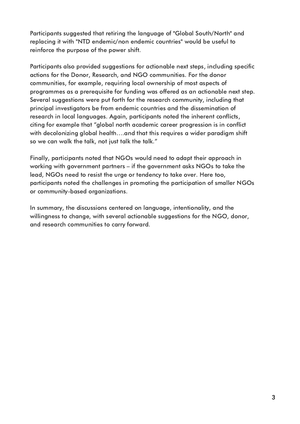Participants suggested that retiring the language of "Global South/North" and replacing it with "NTD endemic/non endemic countries" would be useful to reinforce the purpose of the power shift.

Participants also provided suggestions for actionable next steps, including specific actions for the Donor, Research, and NGO communities. For the donor communities, for example, requiring local ownership of most aspects of programmes as a prerequisite for funding was offered as an actionable next step. Several suggestions were put forth for the research community, including that principal investigators be from endemic countries and the dissemination of research in local languages. Again, participants noted the inherent conflicts, citing for example that "global north academic career progression is in conflict with decolonizing global health....and that this requires a wider paradigm shift so we can walk the talk, not just talk the talk."

Finally, participants noted that NGOs would need to adapt their approach in working with government partners – if the government asks NGOs to take the lead, NGOs need to resist the urge or tendency to take over. Here too, participants noted the challenges in promoting the participation of smaller NGOs or community-based organizations.

In summary, the discussions centered on language, intentionality, and the willingness to change, with several actionable suggestions for the NGO, donor, and research communities to carry forward.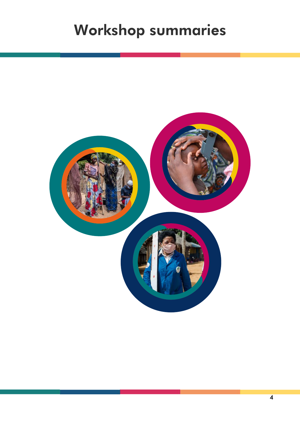# Workshop summaries

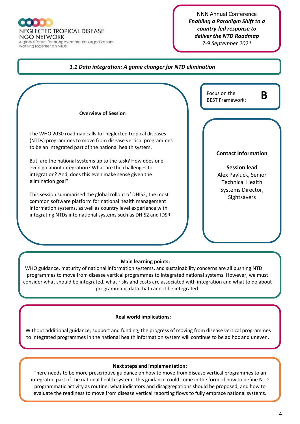A global forum for nongovernmental organizations working together on NTDs

#### NNN Annual Conference *Enabling a Paradigm Shift to a country-led response to deliver the NTD Roadmap 7-9 September 2021*

#### **Main learning points:** WHO guidance, maturity of national information systems, and sustainability concerns are all pushing NTD programmes to move from disease vertical programmes to integrated national systems. However, we must consider what should be integrated, what risks and costs are associated with integration and what to do about programmatic data that cannot be integrated. *1.1 Data integration: A game changer for NTD elimination* **Overview of Session** The WHO 2030 roadmap calls for neglected tropical diseases (NTDs) programmes to move from disease vertical programmes to be an integrated part of the national health system. But, are the national systems up to the task? How does one even go about integration? What are the challenges to integration? And, does this even make sense given the elimination goal? This session summarised the global rollout of DHIS2, the most common software platform for national health management information systems, as well as country level experience with integrating NTDs into national systems such as DHIS2 and IDSR. **Contact Information Session lead** Alex Pavluck, Senior Technical Health Systems Director, Sightsavers Focus on the Focus on the **B**<br>BEST Framework:

#### **Real world implications:**

Without additional guidance, support and funding, the progress of moving from disease vertical programmes to integrated programmes in the national health information system will continue to be ad hoc and uneven.

#### **Next steps and implementation:**

There needs to be more prescriptive guidance on how to move from disease vertical programmes to an integrated part of the national health system. This guidance could come in the form of how to define NTD programmatic activity as routine, what indicators and disaggregations should be proposed, and how to evaluate the readiness to move from disease vertical reporting flows to fully embrace national systems.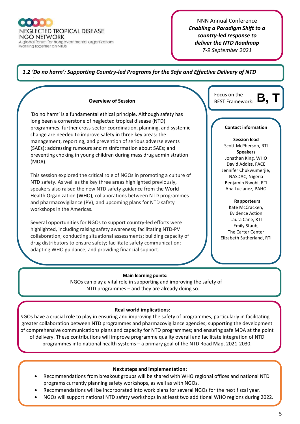A global forum for nongovernmental organizations working together on NTDs

*Medicines* 

NNN Annual Conference *Enabling a Paradigm Shift to a country-led response to deliver the NTD Roadmap 7-9 September 2021*

Focus on the

#### *1.2 'Do no harm': Supporting Country-led Programs for the Safe and Effective Delivery of NTD*

#### **Overview of Session**

'Do no harm' is a fundamental ethical principle. Although safety has long been a cornerstone of neglected tropical disease (NTD) programmes, further cross-sector coordination, planning, and systemic change are needed to improve safety in three key areas: the management, reporting, and prevention of serious adverse events (SAEs); addressing rumours and misinformation about SAEs; and preventing choking in young children during mass drug administration (MDA).

This session explored the critical role of NGOs in promoting a culture of NTD safety. As well as the key three areas highlighted previously, speakers also raised the new NTD safety guidance from the World Health Organization (WHO), collaborations between NTD programmes and pharmacovigilance (PV), and upcoming plans for NTD safety workshops in the Americas.

Several opportunities for NGOs to support country-led efforts were highlighted, including raising safety awareness; facilitating NTD-PV collaboration; conducting situational assessments; building capacity of drug distributors to ensure safety; facilitate safety communication; adapting WHO guidance; and providing financial support.

#### **Contact information**

BEST Framework: **B, T**

**Session lead** Scott McPherson, RTI **Speakers** Jonathan King, WHO David Addiss, FACE Jennifer Chukwumerjie, NASDAC, Nigeria Benjamin Nwobi, RTI Ana Lucianez, PAHO

#### **Rapporteurs**

Kate McCracken, Evidence Action Laura Cane, RTI Emily Staub, The Carter Center Elizabeth Sutherland, RTI

#### **Main learning points:**

 NGOs can play a vital role in supporting and improving the safety of NTD programmes – and they are already doing so.

#### **Real world implications:**

NGOs have a crucial role to play in ensuring and improving the safety of programmes, particularly in facilitating greater collaboration between NTD programmes and pharmacovigilance agencies; supporting the development of comprehensive communications plans and capacity for NTD programmes; and ensuring safe MDA at the point of delivery. These contributions will improve programme quality overall and facilitate integration of NTD programmes into national health systems – a primary goal of the NTD Road Map, 2021-2030.

#### **Next steps and implementation:**

- Recommendations from breakout groups will be shared with WHO regional offices and national NTD programs currently planning safety workshops, as well as with NGOs.
- Recommendations will be incorporated into work plans for several NGOs for the next fiscal year.
- NGOs will support national NTD safety workshops in at least two additional WHO regions during 2022.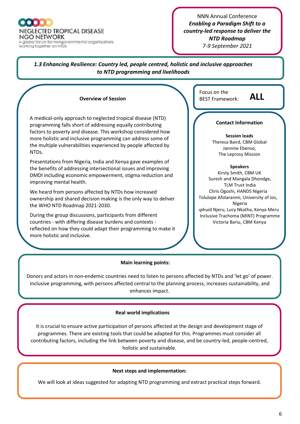$\bullet$   $\bullet$   $\bullet$   $\bullet$   $\bullet$ **NEGLECTED TROPICAL DISEASE NGO NETWORK** A global forum for nongovernmental organizations working together on NTDs

NNN Annual Conference *Enabling a Paradigm Shift to a country-led response to deliver the NTD Roadmap 7-9 September 2021*

*1.3 Enhancing Resilience: Country led, people centred, holistic and inclusive approaches to NTD programming and livelihoods*

#### **Overview of Session**

A medical-only approach to neglected tropical disease (NTD) programming falls short of addressing equally contributing factors to poverty and disease. This workshop considered how more holistic and inclusive programming can address some of the multiple vulnerabilities experienced by people affected by NTDs.

Presentations from Nigeria, India and Kenya gave examples of the benefits of addressing intersectional issues and improving DMDI including economic empowerment, stigma reduction and improving mental health.

We heard from persons affected by NTDs how increased ownership and shared decision making is the only way to deliver the WHO NTD Roadmap 2021-2030.

During the group discussions, participants from different countries - with differing disease burdens and contexts reflected on how they could adapt their programming to make it more holistic and inclusive.

Focus on the BEST Framework: **ALL**

#### **Contact Information**

**Session leads** Theresa Baird, CBM Global Jannine Ebenso, The Leprosy Mission

#### **Speakers**

Kirsty Smith, CBM UK Suresh and Mangala Dhondge, TLM Trust India Chris Ogoshi, HANDS Nigeria Tolulope Afolaranmi, University of Jos, Nigeria Aphuid Njeru, Lucy Nkatha, Kenya Meru Inclusive Trachoma (MINT) Programme Victoria Bariu, CBM Kenya

#### **Main learning points:**

Donors and actors in non-endemic countries need to listen to persons affected by NTDs and 'let go' of power. Inclusive programming, with persons affected central to the planning process, increases sustainability, and enhances impact.

#### **Real world implications**

It is crucial to ensure active participation of persons affected at the design and development stage of programmes. There are existing tools that could be adapted for this. Programmes must consider all contributing factors, including the link between poverty and disease, and be country-led, people-centred, holistic and sustainable.

#### **Next steps and implementation:**

We will look at ideas suggested for adapting NTD programming and extract practical steps forward.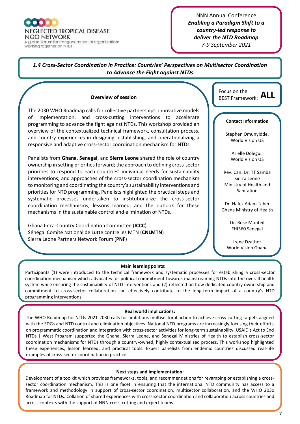A global forum for nongovernmental organizations working together on NTDs

NNN Annual Conference *Enabling a Paradigm Shift to a country-led response to deliver the NTD Roadmap 7-9 September 2021*

*1.4 Cross-Sector Coordination in Practice: Countries' Perspectives on Multisector Coordination to Advance the Fight against NTDs*

#### **Overview of session**

The 2030 WHO Roadmap calls for collective partnerships, innovative models of implementation, and cross-cutting interventions to accelerate programming to advance the fight against NTDs. This workshop provided an overview of the contextualized technical framework, consultation process, and country experiences in designing, establishing, and operationalizing a responsive and adaptive cross-sector coordination mechanism for NTDs.

Panelists from **Ghana**, **Senegal**, and **Sierra Leone** shared the role of country ownership in setting priorities forward; the approach to defining cross-sector priorities to respond to each countries' individual needs for sustainability interventions; and approaches of the cross-sector coordination mechanism to monitoring and coordinating the country's sustainability interventions and priorities for NTD programming. Panelists highlighted the practical steps and systematic processes undertaken to institutionalize the cross-sector coordination mechanisms, lessons learned, and the outlook for these mechanisms in the sustainable control and elimination of NTDs.

Ghana Intra-Country Coordination Committee (**ICCC**) Sénégal Comité National de Lutte contre les MTN (**CNLMTN**) Sierra Leone Partners Network Forum (**PNF**)

Focus on the BEST Framework: **ALL**

#### **Contact Information**

Stephen Omunyidde, World Vision US

> Arielle Dolegui, World Vision US

Rev. Can. Dr. TT Samba Sierra Leone Ministry of Health and Sanitation

Dr. Hafez Adam Taher Ghana Ministry of Health

> Dr. Rose Monteil FHI360 Senegal

Irene Dzathor World Vision Ghana

#### **Main learning points:**

Participants (1) were introduced to the technical framework and systematic processes for establishing a cross-sector coordination mechanism which advocates for political commitment towards mainstreaming NTDs into the overall health system while ensuring the sustainability of NTD interventions and (2) reflected on how dedicated country ownership and commitment to cross-sector collaboration can effectively contribute to the long-term impact of a country's NTD programming interventions.

#### **Real world implications:**

The WHO Roadmap for NTDs 2021-2030 calls for ambitious multisectoral action to achieve cross-cutting targets aligned with the SDGs and NTD control and elimination objectives. National NTD programs are increasingly focusing their efforts on programmatic coordination and integration with cross-sector activities for long-term sustainability. USAID's Act to End NTDs | West Program supported the Ghana, Sierra Leone, and Senegal Ministries of Health to establish cross-sector coordination mechanisms for NTDs through a country-owned, highly contextualized process. This workshop highlighted these experiences, lesson learned, and practical tools. Expert panelists from endemic countries discussed real-life examples of cross-sector coordination in practice.

#### **Next steps and implementation:**

Development of a toolkit which provides frameworks, tools, and recommendations for revamping or establishing a crosssector coordination mechanism. This is one facet in ensuring that the international NTD community has access to a framework and methodology in support of cross-sector coordination, multisector collaboration, and the WHO 2030 Roadmap for NTDs. Collation of shared experiences with cross-sector coordination and collaboration across countries and across contexts with the support of NNN cross-cutting and expert teams.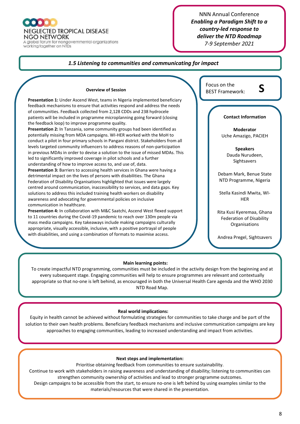#### **NEGLECTED TROPICAL DISEASE**

NGO NETWORK

A global forum for nongovernmental organizations working together on NTDs

#### NNN Annual Conference *Enabling a Paradigm Shift to a country-led response to deliver the NTD Roadmap 7-9 September 2021*

#### **Main learning points:** To create impactful NTD programming, communities must be included in the activity design from the beginning and at *1.5 Listening to communities and communicating for impact* Focus on the **Overview of Session COVERTS AND REST Framework: Overview of Session Presentation 1:** Under Ascend West, teams in Nigeria implemented beneficiary feedback mechanisms to ensure that activities respond and address the needs of communities. Feedback collected from 2,128 CDDs and 238 hydrocele patients will be included in programme microplanning going forward (closing the feedback loop) to improve programme quality. **Presentation 2:** In Tanzania, some community groups had been identified as potentially missing from MDA campaigns. WI-HER worked with the MoH to conduct a pilot in four primary schools in Pangani district. Stakeholders from all levels targeted community influencers to address reasons of non-participation in previous MDAs in order to devise a solution to the issue of missed MDAs. This led to significantly improved coverage in pilot schools and a further understanding of how to improve access to, and use of, data. **Presentation 3:** Barriers to accessing health services in Ghana were having a detrimental impact on the lives of persons with disabilities. The Ghana Federation of Disability Organisations highlighted that issues were largely centred around communication, inaccessibility to services, and data gaps. Key solutions to address this included training health workers on disability awareness and advocating for governmental policies on inclusive communication in healthcare. **Presentation 4:** In collaboration with M&C Saatchi, Ascend West flexed support to 11 countries during the Covid-19 pandemic to reach over 130m people via mass media campaigns. Key takeaways include making campaigns culturally appropriate, visually accessible, inclusive, with a positive portrayal of people with disabilities, and using a combination of formats to maximise access. **Contact Information Moderator** Uche Amazigo, PACIEH **Speakers** Dauda Nurudeen, Sightsavers Debam Mark, Benue State NTD Programme, Nigeria Stella Kasindi Mwita, WI-HER Rita Kusi Kyeremaa, Ghana Federation of Disability Organisations Andrea Pregel, Sightsavers **S**

every subsequent stage. Engaging communities will help to ensure programmes are relevant and contextually appropriate so that no-one is left behind, as encouraged in both the Universal Health Care agenda and the WHO 2030 NTD Road Map.

#### **Real world implications:**

Equity in health cannot be achieved without formulating strategies for communities to take charge and be part of the solution to their own health problems. Beneficiary feedback mechanisms and inclusive communication campaigns are key approaches to engaging communities, leading to increased understanding and impact from activities.

#### **Next steps and implementation:**

Prioritise obtaining feedback from communities to ensure sustainability.

Continue to work with stakeholders in raising awareness and understanding of disability; listening to communities can strengthen community ownership of activities and lead to stronger programme outcomes.

Design campaigns to be accessible from the start, to ensure no-one is left behind by using examples similar to the materials/resources that were shared in the presentation.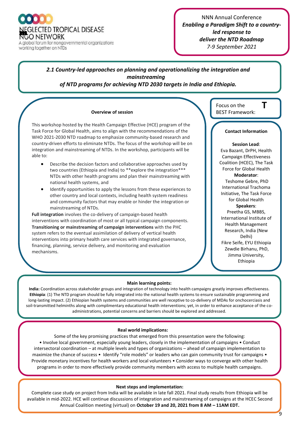**GLECTED TROPICAL DISEASE** NGO NETWORK A global forum for nongovernmental organizations

working together on NTDs

NNN Annual Conference *Enabling a Paradigm Shift to a countryled response to deliver the NTD Roadmap 7-9 September 2021*

#### *2.1 Country-led approaches on planning and operationalizing the integration and mainstreaming*

*of NTD programs for achieving NTD 2030 targets in India and Ethiopia.*

#### **Overview of session** BEST Framework:

This workshop hosted by the Health Campaign Effective (HCE) program of the Task Force for Global Health, aims to align with the recommendations of the WHO 2021-2030 NTD roadmap to emphasize community-based research and country-driven efforts to eliminate NTDs. The focus of the workshop will be on integration and mainstreaming of NTDs. In the workshop, participants will be able to:

- Describe the decision factors and collaborative approaches used by two countries (Ethiopia and India) to \*\*explore the integration\*\*\* NTDs with other health programs and plan their mainstreaming with national health systems, and
- Identify opportunities to apply the lessons from these experiences to other country and local contexts, including health system readiness and community factors that may enable or hinder the integration or mainstreaming of NTDs.

**Full integration** involves the co-delivery of campaign-based health interventions with coordination of most or all typical campaign components. **Transitioning or mainstreaming of campaign interventions** with the PHC system refers to the eventual assimilation of delivery of vertical health interventions into primary health care services with integrated governance, financing, planning, service delivery, and monitoring and evaluation mechanisms.

Focus on the

#### **Contact Information**

**T**

**Session Lead**: Eva Bazant, DrPH, Health Campaign Effectiveness Coalition (HCEC), The Task Force for Global Health **Moderator**: Teshome Gebre, PhD International Trachoma Initiative, The Task Force for Global Health **Speakers**: Preetha GS, MBBS, International Institute of Health Management Research, India (New Delhi) Fikre Seife, EYU Ethiopia Zewdie Birhanu, PhD, Jimma University, Ethiopia

**g** 

#### **Main learning points:**

**India:** Coordination across stakeholder groups and integration of technology into health campaigns greatly improves effectiveness. **Ethiopia**: (1) The NTD program should be fully integrated into the national health systems to ensure sustainable programming and long-lasting impact. (2) Ethiopian health systems and communities are well receptive to co-delivery of MDAs for onchocerciasis and soil-transmitted helminths along with complimentary educational health interventions; yet, in order to enhance acceptance of the coadministrations, potential concerns and barriers should be explored and addressed.

#### **Real world implications:**

Some of the key promising practices that emerged from this presentation were the following: • Involve local government, especially young leaders, closely in the implementation of campaigns • Conduct intersectoral coordination – at multiple levels and types of organizations – ahead of campaign implementation to maximize the chance of success • Identify "role models" or leaders who can gain community trust for campaigns • Provide monetary incentives for health workers and local volunteers • Consider ways to converge with other health programs in order to more effectively provide community members with access to multiple health campaigns.

#### **Next steps and implementation:**

Complete case study on project from India will be available in late fall 2021. Final study results from Ethiopia will be available in mid-2022. HCE will continue discussions of integration and mainstreaming of campaigns at the HCEC Second Annual Coalition meeting (virtual) on **October 19 and 20, 2021 from 8 AM – 11AM EDT.**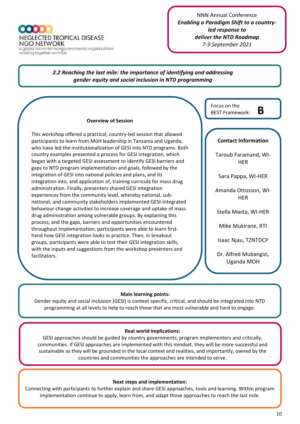NEGLECTED TROPICAL DISEASE NGO NETWORK A global forum for nongovernmental organizations<br>working together on NTDs

*2.2 Reaching the last mile: the importance of identifying and addressing gender equity and social inclusion in NTD programming*

#### **Overview of Session**

This workshop offered a practical, country-led session that allowed participants to learn from MoH leadership in Tanzania and Uganda, who have led the institutionalization of GESI into NTD programs. Both country examples presented a process for GESI integration, which began with a targeted GESI assessment to identify GESI barriers and gaps to NTD program implementation and goals, followed by the integration of GESI into national policies and plans, and its integration into, and application of, training curricula for mass drug administration. Finally, presenters shared GESI integration experiences from the community level, whereby national, subnational, and community stakeholders implemented GESI-integrated behaviour change activities to increase coverage and uptake of mass drug administration among vulnerable groups. By explaining this process, and the gaps, barriers and opportunities encountered throughout implementation, participants were able to learn firsthand how GESI integration looks in practice. Then, in breakout groups, participants were able to test their GESI integration skills, with the inputs and suggestions from the workshop presenters and facilitators.

**Contact Information**  Taroub Faramand, WI-**HER** Sara Pappa, WI-HER Amanda Ottosson, WI-**HER** Stella Mwita, WI-HER Mike Mukirane, RTI Isaac Njau, TZNTDCP Dr. Alfred Mubangizi, Uganda MOH Focus on the BEST Framework: **B**

#### **Main learning points:**

Gender equity and social inclusion (GESI) is context specific, critical, and should be integrated into NTD programming at all levels to help to reach those that are most vulnerable and hard to engage.

#### **Real world implications:**

GESI approaches should be guided by country governments, program implementers and critically, communities. If GESI approaches are implemented with this mindset, they will be more successful and sustainable as they will be grounded in the local context and realities, and importantly, owned by the countries and communities the approaches are intended to serve.

#### **Next steps and implementation:**

Connecting with participants to further explain and share GESI approaches, tools and learning. Within program implementation continue to apply, learn from, and adapt those approaches to reach the last mile.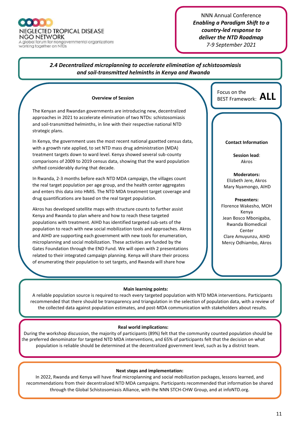A global forum for nongovernmental organizations working together on NTDs

#### NNN Annual Conference *Enabling a Paradigm Shift to a country-led response to deliver the NTD Roadmap 7-9 September 2021*

#### **Main learning points:** A reliable population source is required to reach every targeted population with NTD MDA interventions. Participants recommended that there should be transparency and triangulation in the selection of population data, with a review of the collected data against population estimates, and post-MDA communication with stakeholders about results.  *2.4 Decentralized microplanning to accelerate elimination of schistosomiasis and soil-transmitted helminths in Kenya and Rwanda* **Overview of Session** The Kenyan and Rwandan governments are introducing new, decentralized approaches in 2021 to accelerate elimination of two NTDs: schistosomiasis and soil-transmitted helminths, in line with their respective national NTD strategic plans. In Kenya, the government uses the most recent national gazetted census data, with a growth rate applied, to set NTD mass drug administration (MDA) treatment targets down to ward level. Kenya showed several sub-county comparisons of 2009 to 2019 census data, showing that the ward population shifted considerably during that decade. In Rwanda, 2-3 months before each NTD MDA campaign, the villages count the real target population per age group, and the health center aggregates and enters this data into HMIS. The NTD MDA treatment target coverage and drug quantifications are based on the real target population. Akros has developed satellite maps with structure counts to further assist Kenya and Rwanda to plan where and how to reach these targeted populations with treatment. AIHD has identified targeted sub-sets of the population to reach with new social mobilization tools and approaches. Akros and AIHD are supporting each government with new tools for enumeration, microplanning and social mobilization. These activities are funded by the Gates Foundation through the END Fund. We will open with 2 presentations related to their integrated campaign planning. Kenya will share their process of enumerating their population to set targets, and Rwanda will share how they engaged the community to decentralize their campaign implementation.  $\overline{\phantom{a}}$  will be followed by a group discussion. **Contact Information Session lead**: Akros **Moderators:** Elizbeth Jere, Akros Mary Nyamongo, AIHD **Presenters:**  Florence Wakesho, MOH Kenya Jean Bosco Mbonigaba, Rwanda Biomedical Center Clare Amuyunzu, AIHD Mercy Odhiambo, Akros Focus on the BEST Framework: **ALL**

#### **Real world implications:**

During the workshop discussion, the majority of participants (89%) felt that the community counted population should be the preferred denominator for targeted NTD MDA interventions, and 65% of participants felt that the decision on what population is reliable should be determined at the decentralized government level, such as by a district team.

#### **Next steps and implementation:**

In 2022, Rwanda and Kenya will have final microplanning and social mobilization packages, lessons learned, and recommendations from their decentralized NTD MDA campaigns. Participants recommended that information be shared through the Global Schistosomiasis Alliance, with the NNN STCH-CHW Group, and at infoNTD.org*.*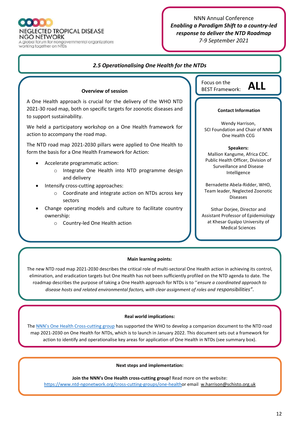

**NGO NETWORK** A global forum for nongovernmental organizations<br>working together on NTDs

#### NNN Annual Conference *Enabling a Paradigm Shift to a country-led response to deliver the NTD Roadmap 7-9 September 2021*

#### *2.5 Operationalising One Health for the NTDs*

#### **Overview of session**

A One Health approach is crucial for the delivery of the WHO NTD 2021-30 road map, both on specific targets for zoonotic diseases and to support sustainability.

We held a participatory workshop on a One Health framework for action to accompany the road map.

The NTD road map 2021-2030 pillars were applied to One Health to form the basis for a One Health Framework for Action:

- Accelerate programmatic action:
	- o Integrate One Health into NTD programme design and delivery
- Intensify cross-cutting approaches:
	- o Coordinate and integrate action on NTDs across key sectors
- Change operating models and culture to facilitate country ownership:
	- o Country-led One Health action

Focus on the BEST Framework: **ALL**

#### **Contact Information**

Wendy Harrison, SCI Foundation and Chair of NNN One Health CCG

#### **Speakers:**

Mallion Kangume, Africa CDC. Public Health Officer, Division of Surveillance and Disease Intelligence

Bernadette Abela-Ridder, WHO, Team leader, Neglected Zoonotic Diseases

Sithar Dorjee, Director and Assistant Professor of Epidemiology at Khesar Gyalpo University of Medical Sciences

#### **Main learning points:**

The new NTD road map 2021-2030 describes the critical role of multi-sectoral One Health action in achieving its control, elimination, and eradication targets but One Health has not been sufficiently profiled on the NTD agenda to date. The roadmap describes the purpose of taking a One Health approach for NTDs is to ''*ensure a coordinated approach to disease hosts and related environmental factors, with clear assignment of roles and responsibilities"*.

#### **Real world implications:**

The [NNN's One Health Cross](https://www.ntd-ngonetwork.org/cross-cutting-groups/one-health)-cutting group has supported the WHO to develop a companion document to the NTD road map 2021-2030 on One Health for NTDs, which is to launch in January 2022. This document sets out a framework for action to identify and operationalise key areas for application of One Health in NTDs (see summary box).

#### **Next steps and implementation:**

**Join the NNN's One Health cross-cutting group!** Read more on the website: [https://www.ntd-ngonetwork.org/cross-cutting-groups/one-healtho](https://www.ntd-ngonetwork.org/cross-cutting-groups/one-health)r email w.harrison@schisto.org.uk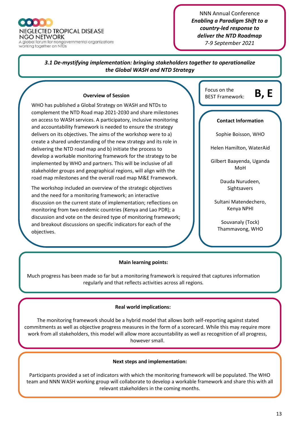

NNN Annual Conference *Enabling a Paradigm Shift to a country-led response to deliver the NTD Roadmap 7-9 September 2021*

#### **Main learning points:** *3.1 De-mystifying implementation: bringing stakeholders together to operationalize the Global WASH and NTD Strategy* **Overview of Session** WHO has published a Global Strategy on WASH and NTDs to complement the NTD Road map 2021-2030 and share milestones on access to WASH services. A participatory, inclusive monitoring and accountability framework is needed to ensure the strategy delivers on its objectives. The aims of the workshop were to a) create a shared understanding of the new strategy and its role in delivering the NTD road map and b) initiate the process to develop a workable monitoring framework for the strategy to be implemented by WHO and partners. This will be inclusive of all stakeholder groups and geographical regions, will align with the road map milestones and the overall road map M&E Framework. The workshop included an overview of the strategic objectives and the need for a monitoring framework; an interactive discussion on the current state of implementation; reflections on monitoring from two endemic countries (Kenya and Lao PDR); a discussion and vote on the desired type of monitoring framework; and breakout discussions on specific indicators for each of the objectives. **Contact Information**  Sophie Boisson, WHO Helen Hamilton, WaterAid Gilbert Baayenda, Uganda MoH Dauda Nurudeen, Sightsavers Sultani Matendechero, Kenya NPHI Souvanaly (Tock) Thammavong, WHO Disability Inclusion Focus on the BEST Framework: **B, E**

Much progress has been made so far but a monitoring framework is required that captures information regularly and that reflects activities across all regions*.* 

#### **Real world implications:**

 The monitoring framework should be a hybrid model that allows both self-reporting against stated commitments as well as objective progress measures in the form of a scorecard. While this may require more work from all stakeholders, this model will allow more accountability as well a*s* recognition of all progress, however small.

#### **Next steps and implementation:**

Participants provided a set of indicators with which the monitoring framework will be populated. The WHO team and NNN WASH working group will collaborate to develop a workable framework and share this with all relevant stakeholders in the coming months.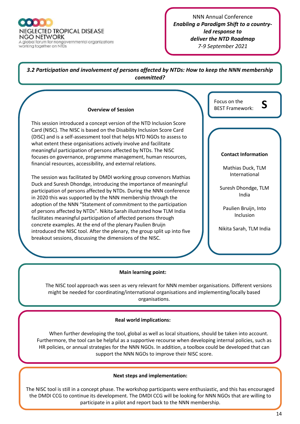**NEGLECTED TROPICAL DISEASE NGO NETWORK** A global forum for nongovernmental organizations

working together on NTDs

NNN Annual Conference *Enabling a Paradigm Shift to a countryled response to deliver the NTD Roadmap 7-9 September 2021*

#### *3.2 Participation and involvement of persons affected by NTDs: How to keep the NNN membership committed?*

#### **Overview of Session**

This session introduced a concept version of the NTD Inclusion Score Card (NISC). The NISC is based on the Disability Inclusion Score Card (DISC) and is a self-assessment tool that helps NTD NGOs to assess to what extent these organisations actively involve and facilitate meaningful participation of persons affected by NTDs. The NISC focuses on governance, programme management, human resources, financial resources, accessibility, and external relations.

The session was facilitated by DMDI working group convenors Mathias Duck and Suresh Dhondge, introducing the importance of meaningful participation of persons affected by NTDs. During the NNN conference in 2020 this was supported by the NNN membership through the adoption of the NNN "Statement of commitment to the participation of persons affected by NTDs". Nikita Sarah illustrated how TLM India facilitates meaningful participation of affected persons through concrete examples. At the end of the plenary Paulien Bruijn introduced the NISC tool. After the plenary, the group split up into five breakout sessions, discussing the dimensions of the NISC.

| Focus on the<br>ς<br><b>BEST Framework:</b> |
|---------------------------------------------|
|                                             |
| <b>Contact Information</b>                  |
| Mathias Duck, TLM<br>International          |
| Suresh Dhondge, TLM<br>India                |
| Paulien Bruijn, Into<br>Inclusion           |
| Nikita Sarah, TLM India                     |

#### **Main learning point:**

The NISC tool approach was seen as very relevant for NNN member organisations. Different versions might be needed for coordinating/international organisations and implementing/locally based organisations.

#### **Real world implications:**

When further developing the tool, global as well as local situations, should be taken into account. Furthermore, the tool can be helpful as a supportive recourse when developing internal policies, such as HR policies, or annual strategies for the NNN NGOs. In addition, a toolbox could be developed that can support the NNN NGOs to improve their NISC score.

#### **Next steps and implementation:**

The NISC tool is still in a concept phase. The workshop participants were enthusiastic, and this has encouraged the DMDI CCG to continue its development. The DMDI CCG will be looking for NNN NGOs that are willing to participate in a pilot and report back to the NNN membership.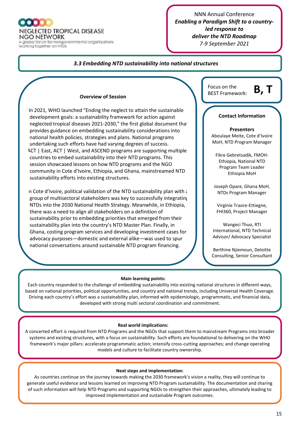

**NEGLECTED TROPICAL DISEASE** 

NGO NETWORK A global forum for nongovernmental organizations working together on NTDs

#### NNN Annual Conference *Enabling a Paradigm Shift to a countryled response to deliver the NTD Roadmap 7-9 September 2021*

#### *3.3 Embedding NTD sustainability into national structures*

#### **Overview of Session**

In 2021, WHO launched "Ending the neglect to attain the sustainable development goals: a sustainability framework for action against neglected tropical diseases 2021-2030," the first global document that provides guidance on embedding sustainability considerations into national health policies, strategies and plans. National programs undertaking such efforts have had varying degrees of success. ACT | East, ACT | West, and ASCEND programs are supporting multiple countries to embed sustainability into their NTD programs. This session showcased lessons on how NTD programs and the NGO community in Cote d'Ivoire, Ethiopia, and Ghana, mainstreamed NTD sustainability efforts into existing structures.

In Cote d'Ivoire, political validation of the NTD sustainability plan with  $\epsilon$ group of multisectoral stakeholders was key to successfully integrating NTDs into the 2030 National Health Strategy. Meanwhile, in Ethiopia, there was a need to align all stakeholders on a definition of sustainability prior to embedding priorities that emerged from their sustainability plan into the country's NTD Master Plan. Finally, in Ghana, costing program services and developing investment cases for advocacy purposes—domestic and external alike—was used to spur national conversations around sustainable NTD program financing.

| Focus on the           | D |  |
|------------------------|---|--|
| <b>BEST Framework:</b> | D |  |

#### **Presenters**

**Contact Information**

Aboulaye Meite, Cote d'Ivoire MoH, NTD Program Manager

Fikre Gebretsadik, FMOH-Ethiopia, National NTD Program Team Leader Ethiopia MoH

Joseph Opare, Ghana MoH, NTDs Program Manager

Virginie Traore-Ettiegne, FHI360, Project Manager

Wangeci Thuo, RTI International, NTD Technical Advisor/ Advocacy Specialist

Berthine Njiemoun, Deloitte Consulting, Senior Consultant

#### **Main learning points:**

Each country responded to the challenge of embedding sustainability into existing national structures in different ways, based on national priorities, political opportunities, and country and national trends, including Universal Health Coverage. Driving each country's effort was a sustainability plan, informed with epidemiologic, programmatic, and financial data, developed with strong multi sectoral coordination and commitment.

#### **Real world implications:**

A concerted effort is required from NTD Programs and the NGOs that support them to mainstream Programs into broader systems and existing structures, with a focus on sustainability. Such efforts are foundational to delivering on the WHO framework's major pillars: accelerate programmatic action; intensify cross-cutting approaches; and change operating models and culture to facilitate country ownership.

#### **Next steps and implementation:**

As countries continue on the journey towards making the 2030 framework's vision a reality, they will continue to generate useful evidence and lessons learned on improving NTD Program sustainability. The documentation and sharing of such information will help NTD Programs and supporting NGOs to strengthen their approaches, ultimately leading to improved implementation and sustainable Program outcomes.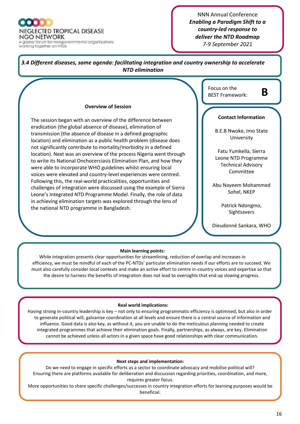**NEGLECTED TROPICAL DISEASE** NGO NETWORK A global forum for nongovernmental organizations

working together on NTDs

NNN Annual Conference *Enabling a Paradigm Shift to a country-led response to deliver the NTD Roadmap 7-9 September 2021*



While integration presents clear opportunities for streamlining, reduction of overlap and increases in efficiency, we must be mindful of each of the PC-NTDs' particular elimination needs if our efforts are to succeed. We must also carefully consider local contexts and make an active effort to centre in-country voices and expertise so that the desire to harness the benefits of integration does not lead to oversights that end up slowing progress.

#### **Real world implications:**

Having strong in-country leadership is key – not only to ensuring programmatic efficiency is optimised, but also in order to generate political will, galvanise coordination at all levels and ensure there is a central source of information and influence. Good data is also key, as without it, you are unable to do the meticulous planning needed to create integrated programmes that achieve their elimination goals. Finally, partnerships, as always, are key. Elimination cannot be achieved unless all actors in a given space have good relationships with clear communication.

#### **Next steps and implementation:**

Do we need to engage in specific efforts as a sector to coordinate advocacy and mobilise political will? Ensuring there are platforms available for deliberation and discussion regarding priorities, coordination, and more, requires greater focus.

More opportunities to share specific challenges/successes in country integration efforts for learning purposes would be beneficial.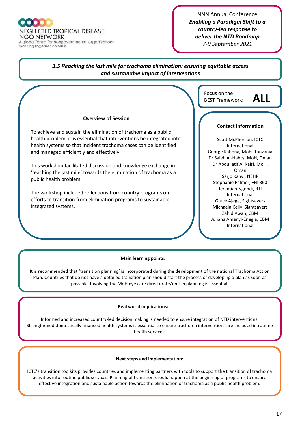A global forum for nongovernmental organizations working together on NTDs

#### NNN Annual Conference *Enabling a Paradigm Shift to a country-led response to deliver the NTD Roadmap 7-9 September 2021*

#### *3.5 Reaching the last mile for trachoma elimination: ensuring equitable access and sustainable impact of interventions*

#### **Main learning points: Overview of Session** To achieve and sustain the elimination of trachoma as a public health problem, it is essential that interventions be integrated into health systems so that incident trachoma cases can be identified and managed efficiently and effectively. This workshop facilitated discussion and knowledge exchange in 'reaching the last mile' towards the elimination of trachoma as a public health problem. The workshop included reflections from country programs on efforts to transition from elimination programs to sustainable integrated systems. **Contact Information** Scott McPherson, ICTC International George Kabona, MoH, Tanzania Dr Saleh Al-Habry, MoH, Oman Dr Abdullatif Al Raisi, MoH, Oman Sarjo Kanyi, NEHP Stephanie Palmer, FHI 360 Jeremiah Ngondi, RTI International Grace Ajege, Sightsavers Michaela Kelly, Sightsavers Zahid Awan, CBM Juliana Amanyi-Enegla, CBM International Focus on the BEST Framework: **ALL**

It is recommended that 'transition planning' is incorporated during the development of the national Trachoma Action Plan. Countries that do not have a detailed transition plan should start the process of developing a plan as soon as possible. Involving the MoH eye care directorate/unit in planning is essential.

#### **Real world implications:**

Informed and increased country-led decision making is needed to ensure integration of NTD interventions. Strengthened domestically financed health systems is essential to ensure trachoma interventions are included in routine health services.

#### **Next steps and implementation:**

ICTC's transition toolkits provides countries and implementing partners with tools to support the transition of trachoma activities into routine public services. Planning of transition should happen at the beginning of programs to ensure effective integration and sustainable action towards the elimination of trachoma as a public health problem.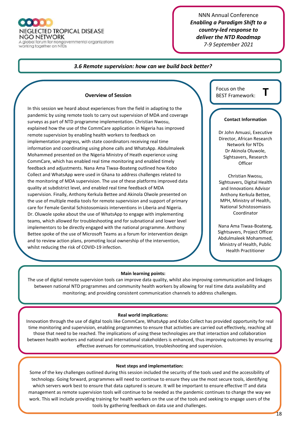

**NGO NETWORK** A global forum for nongovernmental organizations

working together on NTDs

#### NNN Annual Conference *Enabling a Paradigm Shift to a country-led response to deliver the NTD Roadmap 7-9 September 2021*

#### *3.6 Remote supervision: how can we build back better?*

#### **Overview of Session**

In this session we heard about experiences from the field in adapting to the pandemic by using remote tools to carry out supervision of MDA and coverage surveys as part of NTD programme implementation. Christian Nwosu, explained how the use of the CommCare application in Nigeria has improved remote supervision by enabling health workers to feedback on implementation progress, with state coordinators receiving real time information and coordinating using phone calls and WhatsApp. Abdulmaleek Mohammed presented on the Nigeria Ministry of Heath experience using CommCare, which has enabled real time monitoring and enabled timely feedback and adjustments. Nana Ama Tiwaa-Boateng outlined how Kobo Collect and WhatsApp were used in Ghana to address challenges related to the monitoring of MDA supervision. The use of these platforms improved data quality at subdistrict level, and enabled real time feedback of MDA supervision. Finally, Anthony Kerkula Bettee and Akinola Olwole presented on the use of multiple media tools for remote supervision and support of primary care for Female Genital Schistosomiasis interventions in Liberia and Nigeria. Dr. Oluwole spoke about the use of WhatsApp to engage with implementing teams, which allowed for troubleshooting and for subnational and lower level implementors to be directly engaged with the national programme. Anthony Bettee spoke of the use of Microsoft Teams as a forum for intervention design and to review action plans, promoting local ownership of the intervention, whilst reducing the risk of COVID-19 infection.

Focus on the **BEST Framework:** 

#### **Contact Information**

Dr John Amuasi, Executive Director, African Research Network for NTDs Dr Akinola Oluwole, Sightsavers, Research **Officer** 

Christian Nwosu, Sightsavers, Digital Health and Innovations Advisor Anthony Kerkula Bettee, MPH, Ministry of Health, National Schistosomiasis **Coordinator** 

Nana Ama Tiwaa-Boateng, Sightsavers, Project Officer Abdulmaleek Mohammed, Ministry of Health, Public Health Practitioner

#### **Main learning points:**

The use of digital remote supervision tools can improve data quality, whilst also improving communication and linkages between national NTD programmes and community health workers by allowing for real time data availability and monitoring; and providing consistent communication channels to address challenges.

#### **Real world implications:**

Innovation through the use of digital tools like CommCare, WhatsApp and Kobo Collect has provided opportunity for real time monitoring and supervision, enabling programmes to ensure that activities are carried out effectively, reaching all those that need to be reached. The implications of using these technologies are that interaction and collaboration between health workers and national and international stakeholders is enhanced, thus improving outcomes by ensuring effective avenues for communication, troubleshooting and supervision.

#### **Next steps and implementation:**

Some of the key challenges outlined during this session included the security of the tools used and the accessibility of technology. Going forward, programmes will need to continue to ensure they use the most secure tools, identifying which servers work best to ensure that data captured is secure. It will be important to ensure effective IT and data management as remote supervision tools will continue to be needed as the pandemic continues to change the way we work. This will include providing training for health workers on the use of the tools and seeking to engage users of the tools by gathering feedback on data use and challenges.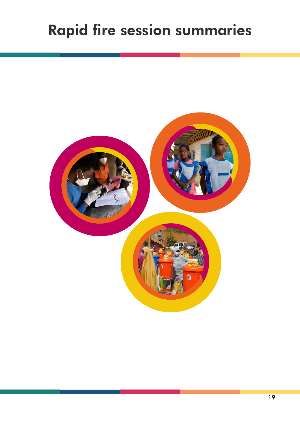# Rapid fire session summaries

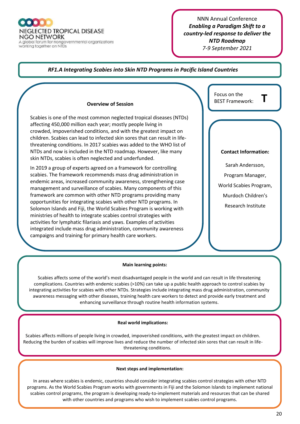A global forum for nongovernmental organizations working together on NTDs

#### NNN Annual Conference *Enabling a Paradigm Shift to a country-led response to deliver the NTD Roadmap 7-9 September 2021*

#### *RF1.A Integrating Scabies into Skin NTD Programs in Pacific Island Countries*

#### **Overview of Session**

Scabies is one of the most common neglected tropical diseases (NTDs) affecting 450,000 million each year; mostly people living in crowded, impoverished conditions, and with the greatest impact on children. Scabies can lead to infected skin sores that can result in lifethreatening conditions. In 2017 scabies was added to the WHO list of NTDs and now is included in the NTD roadmap. However, like many skin NTDs, scabies is often neglected and underfunded.

In 2019 a group of experts agreed on a framework for controlling scabies. The framework recommends mass drug administration in endemic areas, increased community awareness, strengthening case management and surveillance of scabies. Many components of this framework are common with other NTD programs providing many opportunities for integrating scabies with other NTD programs. In Solomon Islands and Fiji, the World Scabies Program is working with ministries of health to integrate scabies control strategies with activities for lymphatic filariasis and yaws. Examples of activities integrated include mass drug administration, community awareness campaigns and training for primary health care workers.

| Focus on the<br><b>BEST Framework:</b> |
|----------------------------------------|
|                                        |
|                                        |
| <b>Contact Information:</b>            |
| Sarah Andersson,                       |
| Program Manager,                       |
| World Scabies Program,                 |
| Murdoch Children's                     |
| <b>Research Institute</b>              |
|                                        |
|                                        |
|                                        |

#### **Main learning points:**

Scabies affects some of the world's most disadvantaged people in the world and can result in life threatening complications. Countries with endemic scabies (>10%) can take up a public health approach to control scabies by integrating activities for scabies with other NTDs. Strategies include integrating mass drug administration, community awareness messaging with other diseases, training health care workers to detect and provide early treatment and enhancing surveillance through routine health information systems.

#### **Real world implications:**

Scabies affects millions of people living in crowded, impoverished conditions, with the greatest impact on children. Reducing the burden of scabies will improve lives and reduce the number of infected skin sores that can result in lifethreatening conditions.

#### **Next steps and implementation:**

In areas where scabies is endemic, countries should consider integrating scabies control strategies with other NTD programs. As the World Scabies Program works with governments in Fiji and the Solomon Islands to implement national scabies control programs, the program is developing ready-to-implement materials and resources that can be shared with other countries and programs who wish to implement scabies control programs.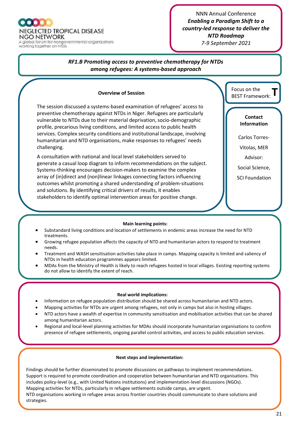

working together on NTDs

MDAs.

NNN Annual Conference *Enabling a Paradigm Shift to a country-led response to deliver the NTD Roadmap 7-9 September 2021*

#### *RF1.B Promoting access to preventive chemotherapy for NTDs among refugees: A systems-based approach*

#### **Overview of Session**

The session discussed a systems-based examination of refugees' access to preventive chemotherapy against NTDs in Niger. Refugees are particularly vulnerable to NTDs due to their material deprivation, socio-demographic profile, precarious living conditions, and limited access to public health services. Complex security conditions and institutional landscape, involving humanitarian and NTD organisations, make responses to refugees' needs challenging.

A consultation with national and local level stakeholders served to generate a casual loop diagram to inform recommendations on the subject. Systems-thinking encourages decision-makers to examine the complex array of (in)direct and (non)linear linkages connecting factors influencing outcomes whilst promoting a shared understanding of problem-situations and solutions. By identifying critical drivers of results, it enables stakeholders to identify optimal intervention areas for positive change.

**T** Focus on the BEST Framework:

#### **Contact Information**

Carlos Torres-

Vitolas, MER

Advisor:

Social Science,

SCI Foundation

#### **Main learning points:**

- Substandard living conditions and location of settlements in endemic areas increase the need for NTD treatments.
- Growing refugee population affects the capacity of NTD and humanitarian actors to respond to treatment needs.

 $\mathcal{S}$  integration and physical proximity between hosting via  $\mathcal{S}$  and refugees condition participation participation  $\mathcal{S}$ 

- Treatment and WASH sensitisation activities take place in camps. Mapping capacity is limited and saliency of NTDs in health education programmes appears limited.
- MDAs from the Ministry of Health is likely to reach refugees hosted in local villages. Existing reporting systems do not allow to identify the extent of reach.

#### **Real world implications:**

- Information on refugee population distribution should be shared across humanitarian and NTD actors.
- Mapping activities for NTDs are urgent among refugees, not only in camps but also in hosting villages.
- NTD actors have a wealth of expertise in community sensitisation and mobilisation activities that can be shared among humanitarian actors.
- Regional and local-level planning activities for MDAs should incorporate humanitarian organisations to confirm presence of refugee settlements, ongoing parallel control activities, and access to public education services.

#### **Next steps and implementation:**

Findings should be further disseminated to promote discussions on pathways to implement recommendations. Support is required to promote coordination and cooperation between humanitarian and NTD organisations. This includes policy-level (e.g., with United Nations institutions) and implementation-level discussions (NGOs). Mapping activities for NTDs, particularly in refugee settlements outside camps, are urgent. NTD organisations working in refugee areas across frontier countries should communicate to share solutions and strategies.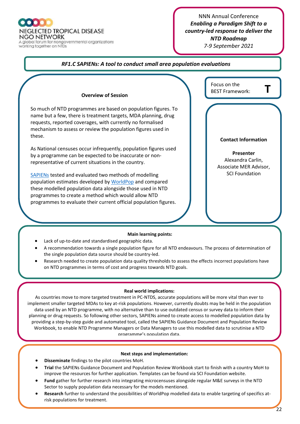

A global forum for nongovernmental organizations working together on NTDs

#### NNN Annual Conference *Enabling a Paradigm Shift to a country-led response to deliver the NTD Roadmap 7-9 September 2021*

Focus on the **BEST Framework:** 

#### *RF1.C SAPIENs: A tool to conduct small area population evaluations*

#### **Overview of Session**

So much of NTD programmes are based on population figures. To name but a few, there is treatment targets, MDA planning, drug requests, reported coverages, with currently no formalised mechanism to assess or review the population figures used in these.

As National censuses occur infrequently, population figures used by a programme can be expected to be inaccurate or nonrepresentative of current situations in the country.

[SAPIENs](https://schistosomiasiscontrolinitiative.org/sapiens-project) tested and evaluated two methods of modelling population estimates developed b[y WorldPop](https://www.worldpop.org/) and compared these modelled population data alongside those used in NTD programmes to create a method which would allow NTD programmes to evaluate their current official population figures.

#### **Main learning points:**

- Lack of up-to-date and standardised geographic data.
- A recommendation towards a single population figure for all NTD endeavours. The process of determination of the single population data source should be country-led.
- Research needed to create population data quality thresholds to assess the effects incorrect populations have on NTD programmes in terms of cost and progress towards NTD goals.

#### **Real world implications:**

As countries move to more targeted treatment in PC-NTDS, accurate populations will be more vital than ever to implement smaller targeted MDAs to key at-risk populations. However, currently doubts may be held in the population data used by an NTD programme, with no alternative than to use outdated census or survey data to inform their planning or drug requests. So following other sectors, SAPIENs aimed to create access to modelled population data by providing a step-by-step guide and automated tool, called the SAPIENs Guidance Document and Population Review Workbook, to enable NTD Programme Managers or Data Managers to use this modelled data to scrutinise a NTD programme's population data.

#### **Next steps and implementation:**

- **Disseminate** findings to the pilot countries MoH.
- **Trial** the SAPIENs Guidance Document and Population Review Workbook start to finish with a country MoH to improve the resources for further application. Templates can be found via SCI Foundation website.
- **Fund** gather for further research into integrating microcensuses alongside regular M&E surveys in the NTD Sector to supply population data necessary for the models mentioned.
- **Research** further to understand the possibilities of WorldPop modelled data to enable targeting of specifics atrisk populations for treatment.

| <b>Contact Information</b> |
|----------------------------|
| <b>Presenter</b>           |

Alexandra Carlin, Associate MER Advisor, SCI Foundation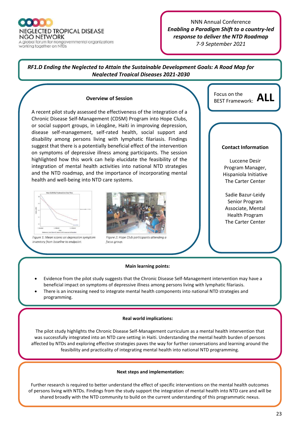A global forum for nongovernmental organizations working together on NTDs

#### NNN Annual Conference *Enabling a Paradigm Shift to a country-led response to deliver the NTD Roadmap*

*7-9 September 2021*

#### *RF1.D Ending the Neglected to Attain the Sustainable Development Goals: A Road Map for Neglected Tropical Diseases 2021-2030*

#### **Overview of Session**

A recent pilot study assessed the effectiveness of the integration of a Chronic Disease Self-Management (CDSM) Program into Hope Clubs, or social support groups, in Léogâne, Haiti in improving depression, disease self-management, self-rated health, social support and disability among persons living with lymphatic filariasis. Findings suggest that there is a potentially beneficial effect of the intervention on symptoms of depressive illness among participants. The session highlighted how this work can help elucidate the feasibility of the integration of mental health activities into national NTD strategies and the NTD roadmap, and the importance of incorporating mental health and well-being into NTD care systems.



Figure 1: Mean scores on depression symptom Inventory from baseline to endpoint.



Figure 2: Hope Club participants attending a focus group



#### **Contact Information**

Luccene Desir Program Manager, Hispaniola Initiative The Carter Center

Sadie Bazur-Leidy Senior Program Associate, Mental Health Program The Carter Center

#### **Main learning points:**

- Evidence from the pilot study suggests that the Chronic Disease Self-Management intervention may have a beneficial impact on symptoms of depressive illness among persons living with lymphatic filariasis.
- There is an increasing need to integrate mental health components into national NTD strategies and programming.

#### **Real world implications:**

The pilot study highlights the Chronic Disease Self-Management curriculum as a mental health intervention that was successfully integrated into an NTD care setting in Haiti. Understanding the mental health burden of persons affected by NTDs and exploring effective strategies paves the way for further conversations and learning around the feasibility and practicality of integrating mental health into national NTD programming.

#### **Next steps and implementation:**

Further research is required to better understand the effect of specific interventions on the mental health outcomes of persons living with NTDs. Findings from the study support the integration of mental health into NTD care and will be shared broadly with the NTD community to build on the current understanding of this programmatic nexus.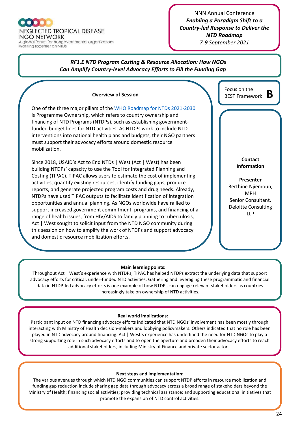

#### NNN Annual Conference *Enabling a Paradigm Shift to a Country-led Response to Deliver the NTD Roadmap*

*7-9 September 2021*

#### *RF1.E NTD Program Costing & Resource Allocation: How NGOs Can Amplify Country-level Advocacy Efforts to Fill the Funding Gap*

#### **Overview of Session**

One of the three major pillars of th[e WHO Roadmap for NTDs 2021-2030](https://www.who.int/publications-detail-redirect/9789240010352) is Programme Ownership, which refers to country ownership and financing of NTD Programs (NTDPs), such as establishing governmentfunded budget lines for NTD activities. As NTDPs work to include NTD interventions into national health plans and budgets, their NGO partners must support their advocacy efforts around domestic resource mobilization.

Since 2018, USAID's Act to End NTDs | West (Act | West) has been building NTDPs' capacity to use the Tool for Integrated Planning and Costing (TIPAC). TIPAC allows users to estimate the cost of implementing activities, quantify existing resources, identify funding gaps, produce reports, and generate projected program costs and drug needs. Already, NTDPs have used TIPAC outputs to facilitate identification of integration opportunities and annual planning. As NGOs worldwide have rallied to support increased government commitment, programs, and financing of a range of health issues, from HIV/AIDS to family planning to tuberculosis, Act | West sought to solicit input from the NTD NGO community during this session on how to amplify the work of NTDPs and support advocacy and domestic resource mobilization efforts.

# Focus on the BEST Framework: **B**

**Contact Information**

**Presenter** Berthine Njiemoun, MPH Senior Consultant, Deloitte Consulting LLP

#### **Main learning points:**

Throughout Act | West's experience with NTDPs, TIPAC has helped NTDPs extract the underlying data that support advocacy efforts for critical, under-funded NTD activities. Gathering and leveraging these programmatic and financial data in NTDP-led advocacy efforts is one example of how NTDPs can engage relevant stakeholders as countries increasingly take on ownership of NTD activities.

#### **Real world implications:**

Participant input on NTD financing advocacy efforts indicated that NTD NGOs' involvement has been mostly through interacting with Ministry of Health decision-makers and lobbying policymakers. Others indicated that no role has been played in NTD advocacy around financing. Act | West's experience has underlined the need for NTD NGOs to play a strong supporting role in such advocacy efforts and to open the aperture and broaden their advocacy efforts to reach additional stakeholders, including Ministry of Finance and private sector actors.

#### **Next steps and implementation:**

The various avenues through which NTD NGO communities can support NTDP efforts in resource mobilization and funding gap reduction include sharing gap data through advocacy across a broad range of stakeholders beyond the Ministry of Health; financing social activities; providing technical assistance; and supporting educational initiatives that promote the expansion of NTD control activities.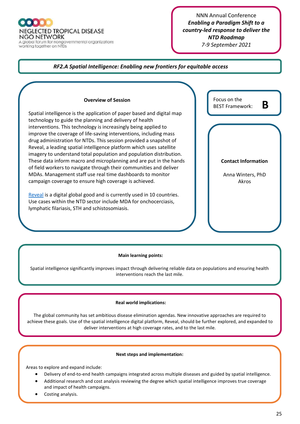A global forum for nongovernmental organizations<br>working together on NTDs

#### NNN Annual Conference *Enabling a Paradigm Shift to a country-led response to deliver the NTD Roadmap 7-9 September 2021*

#### *RF2.A Spatial Intelligence: Enabling new frontiers for equitable access*

#### **Overview of Session**

Spatial intelligence is the application of paper based and digital map technology to guide the planning and delivery of health interventions. This technology is increasingly being applied to improve the coverage of life-saving interventions, including mass drug administration for NTDs. This session provided a snapshot of Reveal, a leading spatial intelligence platform which uses satellite imagery to understand total population and population distribution. These data inform macro and microplanning and are put in the hands of field workers to navigate through their communities and deliver MDAs. Management staff use real time dashboards to monitor campaign coverage to ensure high coverage is achieved.

[Reveal](http://www.revealprecision.com/) is a digital global good and is currently used in 10 countries. Use cases within the NTD sector include MDA for onchocerciasis, lymphatic filariasis, STH and schistosomiasis.

| Focus on the<br>R<br><b>BEST Framework:</b> |  |
|---------------------------------------------|--|
|                                             |  |
|                                             |  |
| <b>Contact Information</b>                  |  |
| Anna Winters, PhD<br>Akros                  |  |

#### **Main learning points:**

Spatial intelligence significantly improves impact through delivering reliable data on populations and ensuring health interventions reach the last mile.

#### **Real world implications:**

The global community has set ambitious disease elimination agendas. New innovative approaches are required to achieve these goals. Use of the spatial intelligence digital platform, Reveal, should be further explored, and expanded to deliver interventions at high coverage rates, and to the last mile.

#### **Next steps and implementation:**

Areas to explore and expand include:

- Delivery of end-to-end health campaigns integrated across multiple diseases and guided by spatial intelligence.
- Additional research and cost analysis reviewing the degree which spatial intelligence improves true coverage and impact of health campaigns.
- Costing analysis.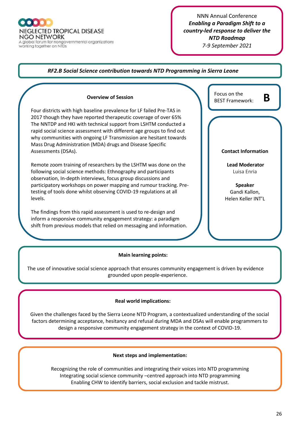A global forum for nongovernmental organizations working together on NTDs

#### NNN Annual Conference *Enabling a Paradigm Shift to a country-led response to deliver the NTD Roadmap 7-9 September 2021*

#### *RF2.B Social Science contribution towards NTD Programming in Sierra Leone*

#### **Overview of Session**

Four districts with high baseline prevalence for LF failed Pre-TAS in 2017 though they have reported therapeutic coverage of over 65% The NNTDP and HKI with technical support from LSHTM conducted a rapid social science assessment with different age groups to find out why communities with ongoing LF Transmission are hesitant towards Mass Drug Administration (MDA) drugs and Disease Specific Assessments (DSAs).

Remote zoom training of researchers by the LSHTM was done on the following social science methods: Ethnography and participants observation, In-depth interviews, focus group discussions and participatory workshops on power mapping and rumour tracking. Pretesting of tools done whilst observing COVID-19 regulations at all levels.

The findings from this rapid assessment is used to re-design and inform a responsive community engagement strategy: a paradigm shift from previous models that relied on messaging and information.

| Focus on the<br><b>BEST Framework:</b> | R |
|----------------------------------------|---|
|                                        |   |
|                                        |   |
|                                        |   |
| <b>Contact Information</b>             |   |
|                                        |   |
| <b>Lead Moderator</b>                  |   |
| Luisa Enria                            |   |
| <b>Speaker</b>                         |   |
| Gandi Kallon,                          |   |

Helen Keller INT'L

#### **Main learning points:**

The use of innovative social science approach that ensures community engagement is driven by evidence grounded upon people-experience.

#### **Real world implications:**

Given the challenges faced by the Sierra Leone NTD Program, a contextualized understanding of the social factors determining acceptance, hesitancy and refusal during MDA and DSAs will enable programmers to design a responsive community engagement strategy in the context of COVID-19.

#### **Next steps and implementation:**

Recognizing the role of communities and integrating their voices into NTD programming Integrating social science community –centred approach into NTD programming Enabling CHW to identify barriers, social exclusion and tackle mistrust.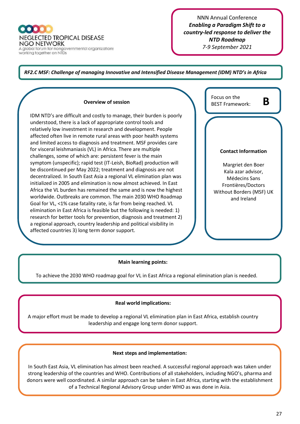NEGLECTED TROPICAL DISEASE NGO NETWORK A global forum for nongovernmental organizations<br>working together on NTDs

#### NNN Annual Conference *Enabling a Paradigm Shift to a country-led response to deliver the NTD Roadmap 7-9 September 2021*

#### *RF2.C MSF: Challenge of managing Innovative and Intensified Disease Management (IDM) NTD's in Africa*

#### IDM NTD's are difficult and costly to manage, their burden is poorly understood, there is a lack of appropriate control tools and relatively low investment in research and development. People affected often live in remote rural areas with poor health systems and limited access to diagnosis and treatment. MSF provides care for visceral leishmaniasis (VL) in Africa. There are multiple challenges, some of which are: persistent fever is the main symptom (unspecific); rapid test (IT-Leish, BioRad) production will be discontinued per May 2022; treatment and diagnosis are not decentralized. In South East Asia a regional VL elimination plan was initialized in 2005 and elimination is now almost achieved. In East Africa the VL burden has remained the same and is now the highest worldwide. Outbreaks are common. The main 2030 WHO Roadmap Goal for VL, <1% case fatality rate, is far from being reached. VL elimination in East Africa is feasible but the following is needed: 1) research for better tools for prevention, diagnosis and treatment 2) a regional approach, country leadership and political visibility in affected countries 3) long term donor support.

**Overview of session**

| Focus on the<br><b>BEST Framework:</b>                                                                                    |
|---------------------------------------------------------------------------------------------------------------------------|
|                                                                                                                           |
| <b>Contact Information</b>                                                                                                |
| Margriet den Boer<br>Kala azar advisor,<br>Médecins Sans<br>Frontières/Doctors<br>Without Borders (MSF) UK<br>and Ireland |

#### **Main learning points:**

To achieve the 2030 WHO roadmap goal for VL in East Africa a regional elimination plan is needed.

#### **Real world implications:**

A major effort must be made to develop a regional VL elimination plan in East Africa, establish country leadership and engage long term donor support.

#### **Next steps and implementation:**

In South East Asia, VL elimination has almost been reached. A successful regional approach was taken under strong leadership of the countries and WHO. Contributions of all stakeholders, including NGO's, pharma and donors were well coordinated. A similar approach can be taken in East Africa, starting with the establishment of a Technical Regional Advisory Group under WHO as was done in Asia.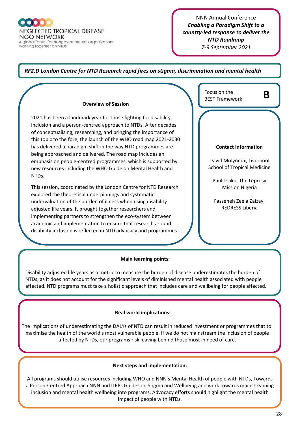**NEGLECTED TROPICAL DISEASE NGO NETWORK** A global forum for nongovernmental organizations

working together on NTDs

#### NNN Annual Conference *Enabling a Paradigm Shift to a country-led response to deliver the NTD Roadmap 7-9 September 2021*

#### *RF2.D London Centre for NTD Research rapid fires on stigma, discrimination and mental health*

#### **Overview of Session**

2021 has been a landmark year for those fighting for disability inclusion and a person-centred approach to NTDs. After decades of conceptualising, researching, and bringing the importance of this topic to the fore, the launch of the WHO road map 2021-2030 has delivered a paradigm shift in the way NTD programmes are being approached and delivered. The road map includes an emphasis on people-centred programmes, which is supported by new resources including the WHO Guide on Mental Health and NTDs.

This session, coordinated by the London Centre for NTD Research explored the theoretical underpinnings and systematic undervaluation of the burden of illness when using disability adjusted life years. It brought together researchers and implementing partners to strengthen the eco-system between academic and implementation to ensure that research around disability inclusion is reflected in NTD advocacy and programmes.

| Focus on the<br><b>BEST Framework:</b>                          |
|-----------------------------------------------------------------|
|                                                                 |
| <b>Contact Information</b>                                      |
| David Molyneux, Liverpool<br><b>School of Tropical Medicine</b> |
| Paul Tsaku, The Leprosy<br><b>Mission Nigeria</b>               |
| Fasseneh Zeela Zaizay,<br><b>REDRESS Liberia</b>                |
|                                                                 |
|                                                                 |

#### **Main learning points:**

Disability adjusted life years as a metric to measure the burden of disease underestimates the burden of NTDs, as it does not account for the significant levels of diminished mental health associated with people affected. NTD programs must take a holistic approach that includes care and wellbeing for people affected.

#### **Real world implications:**

 The implications of underestimating the DALYs of NTD can result in reduced investment or programmes that to maximise the health of the world's most vulnerable people. If we do not mainstream the inclusion of people affected by NTDs, our programs risk leaving behind those most in need of care.

#### **Next steps and implementation:**

All programs should utilise resources including WHO and NNN's Mental Health of people with NTDs, Towards a Person-Centred Approach NNN and ILEPs Guides on Stigma and Wellbeing and work towards mainstreaming inclusion and mental health wellbeing into programs. Advocacy efforts should highlight the mental health impact of people with NTDs.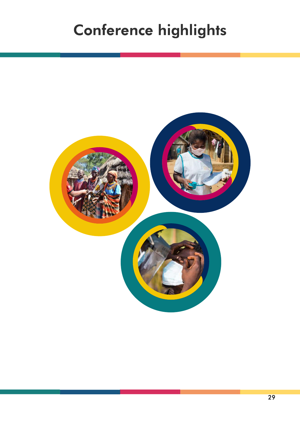# Conference highlights

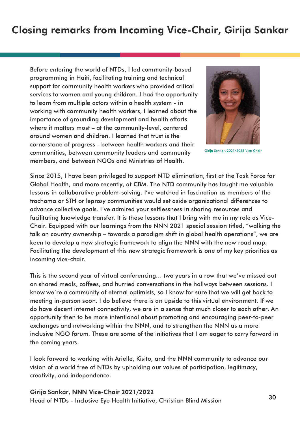## Closing remarks from Incoming Vice-Chair, Girija Sankar

Before entering the world of NTDs, I led community-based programming in Haiti, facilitating training and technical support for community health workers who provided critical services to women and young children. I had the opportunity to learn from multiple actors within a health system - in working with community health workers, I learned about the importance of grounding development and health efforts where it matters most – at the community-level, centered around women and children. I learned that trust is the cornerstone of progress - between health workers and their communities, between community leaders and community members, and between NGOs and Ministries of Health.



Girija Sankar, 2021/2022 Vice-Chair

Since 2015, I have been privileged to support NTD elimination, first at the Task Force for Global Health, and more recently, at CBM. The NTD community has taught me valuable lessons in collaborative problem-solving. I've watched in fascination as members of the trachoma or STH or leprosy communities would set aside organizational differences to advance collective goals. I've admired your selflessness in sharing resources and facilitating knowledge transfer. It is these lessons that I bring with me in my role as Vice-Chair. Equipped with our learnings from the NNN 2021 special session titled, "walking the talk on country ownership – towards a paradigm shift in global health operations", we are keen to develop a new strategic framework to align the NNN with the new road map. Facilitating the development of this new strategic framework is one of my key priorities as incoming vice-chair.

This is the second year of virtual conferencing… two years in a row that we've missed out on shared meals, coffees, and hurried conversations in the hallways between sessions. I know we're a community of eternal optimists, so I know for sure that we will get back to meeting in-person soon. I do believe there is an upside to this virtual environment. If we do have decent internet connectivity, we are in a sense that much closer to each other. An opportunity then to be more intentional about promoting and encouraging peer-to-peer exchanges and networking within the NNN, and to strengthen the NNN as a more inclusive NGO forum. These are some of the initiatives that I am eager to carry forward in the coming years.

I look forward to working with Arielle, Kisito, and the NNN community to advance our vision of a world free of NTDs by upholding our values of participation, legitimacy, creativity, and independence.

Girija Sankar, NNN Vice-Chair 2021/2022 Head of NTDs - Inclusive Eye Health Initiative, Christian Blind Mission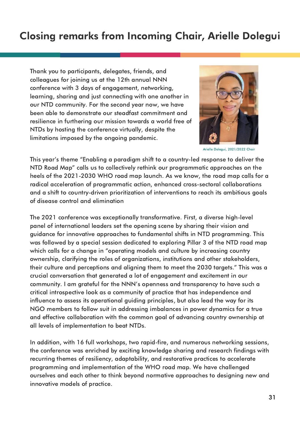## Closing remarks from Incoming Chair, Arielle Dolegui

Thank you to participants, delegates, friends, and colleagues for joining us at the 12th annual NNN conference with 3 days of engagement, networking, learning, sharing and just connecting with one another in our NTD community. For the second year now, we have been able to demonstrate our steadfast commitment and resilience in furthering our mission towards a world free of NTDs by hosting the conference virtually, despite the limitations imposed by the ongoing pandemic.



Arielle Dolegui, 2021/2022 Chair

This year's theme "Enabling a paradigm shift to a country-led response to deliver the NTD Road Map" calls us to collectively rethink our programmatic approaches on the heels of the 2021-2030 WHO road map launch. As we know, the road map calls for a radical acceleration of programmatic action, enhanced cross-sectoral collaborations and a shift to country-driven prioritization of interventions to reach its ambitious goals of disease control and elimination

The 2021 conference was exceptionally transformative. First, a diverse high-level panel of international leaders set the opening scene by sharing their vision and guidance for innovative approaches to fundamental shifts in NTD programming. This was followed by a special session dedicated to exploring Pillar 3 of the NTD road map which calls for a change in "operating models and culture by increasing country ownership, clarifying the roles of organizations, institutions and other stakeholders, their culture and perceptions and aligning them to meet the 2030 targets." This was a crucial conversation that generated a lot of engagement and excitement in our community. I am grateful for the NNN's openness and transparency to have such a critical introspective look as a community of practice that has independence and influence to assess its operational guiding principles, but also lead the way for its NGO members to follow suit in addressing imbalances in power dynamics for a true and effective collaboration with the common goal of advancing country ownership at all levels of implementation to beat NTDs.

In addition, with 16 full workshops, two rapid-fire, and numerous networking sessions, the conference was enriched by exciting knowledge sharing and research findings with recurring themes of resiliency, adaptability, and restorative practices to accelerate programming and implementation of the WHO road map. We have challenged ourselves and each other to think beyond normative approaches to designing new and innovative models of practice.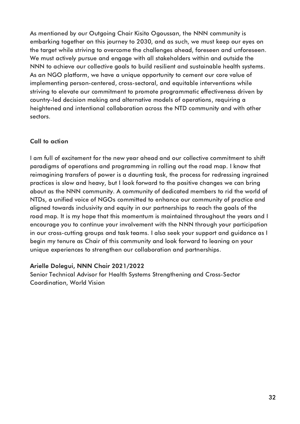As mentioned by our Outgoing Chair Kisito Ogoussan, the NNN community is embarking together on this journey to 2030, and as such, we must keep our eyes on the target while striving to overcome the challenges ahead, foreseen and unforeseen. We must actively pursue and engage with all stakeholders within and outside the NNN to achieve our collective goals to build resilient and sustainable health systems. As an NGO platform, we have a unique opportunity to cement our core value of implementing person-centered, cross-sectoral, and equitable interventions while striving to elevate our commitment to promote programmatic effectiveness driven by country-led decision making and alternative models of operations, requiring a heightened and intentional collaboration across the NTD community and with other sectors.

#### Call to action

I am full of excitement for the new year ahead and our collective commitment to shift paradigms of operations and programming in rolling out the road map. I know that reimagining transfers of power is a daunting task, the process for redressing ingrained practices is slow and heavy, but I look forward to the positive changes we can bring about as the NNN community. A community of dedicated members to rid the world of NTDs, a unified voice of NGOs committed to enhance our community of practice and aligned towards inclusivity and equity in our partnerships to reach the goals of the road map. It is my hope that this momentum is maintained throughout the years and I encourage you to continue your involvement with the NNN through your participation in our cross-cutting groups and task teams. I also seek your support and guidance as I begin my tenure as Chair of this community and look forward to leaning on your unique experiences to strengthen our collaboration and partnerships.

#### Arielle Dolegui, NNN Chair 2021/2022

Senior Technical Advisor for Health Systems Strengthening and Cross-Sector Coordination, World Vision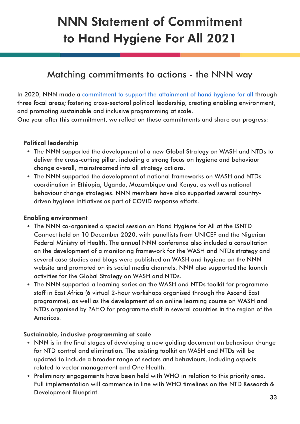# NNN Statement of Commitment to Hand Hygiene For All 2021

### Matching commitments to actions - the NNN way

In 2020, NNN [made](https://www.ntd-ngonetwork.org/nnn-statement-of-commitment-to-hand-hygiene-for-all) a [commitment](https://www.ntd-ngonetwork.org/nnn-statement-of-commitment-to-hand-hygiene-for-all) to support the attainment of hand hygiene for all through three focal areas; fostering cross-sectoral political leadership, creating enabling environment, and promoting sustainable and inclusive programming at scale.

One year after this commitment, we reflect on these commitments and share our progress:

#### Political leadership

- The NNN supported the development of a new Global Strategy on WASH and NTDs to deliver the cross-cutting pillar, including a strong focus on hygiene and behaviour change overall, mainstreamed into all strategy actions.
- The NNN supported the development of national frameworks on WASH and NTDs coordination in Ethiopia, Uganda, Mozambique and Kenya, as well as national behaviour change strategies. NNN members have also supported several countrydriven hygiene initiatives as part of COVID response efforts.

#### Enabling environment

- The NNN co-organised a special session on Hand Hygiene for All at the ISNTD Connect held on 10 December 2020, with panellists from UNICEF and the Nigerian Federal Ministry of Health. The annual NNN conference also included a consultation on the development of a monitoring framework for the WASH and NTDs strategy and several case studies and blogs were published on WASH and hygiene on the NNN website and promoted on its social media channels. NNN also supported the launch activities for the Global Strategy on WASH and NTDs.
- The NNN supported a learning series on the WASH and NTDs toolkit for programme staff in East Africa (6 virtual 2-hour workshops organised through the Ascend East programme), as well as the development of an online learning course on WASH and NTDs organised by PAHO for programme staff in several countries in the region of the Americas.

#### Sustainable, inclusive programming at scale

- NNN is in the final stages of developing a new guiding document on behaviour change for NTD control and elimination. The existing toolkit on WASH and NTDs will be updated to include a broader range of sectors and behaviours, including aspects related to vector management and One Health.
- Preliminary engagements have been held with WHO in relation to this priority area. Full implementation will commence in line with WHO timelines on the NTD Research & Development Blueprint.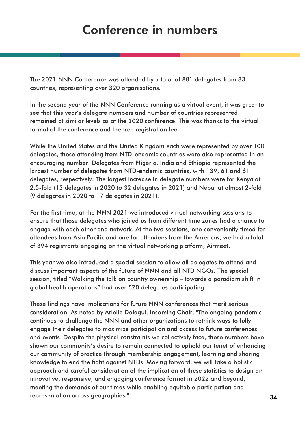# Conference in numbers

The 2021 NNN Conference was attended by a total of 881 delegates from 83 countries, representing over 320 organisations.

In the second year of the NNN Conference running as a virtual event, it was great to see that this year's delegate numbers and number of countries represented remained at similar levels as at the 2020 conference. This was thanks to the virtual format of the conference and the free registration fee.

While the United States and the United Kingdom each were represented by over 100 delegates, those attending from NTD-endemic countries were also represented in an encouraging number. Delegates from Nigeria, India and Ethiopia represented the largest number of delegates from NTD-endemic countries, with 139, 61 and 61 delegates, respectively. The largest increase in delegate numbers were for Kenya at 2.5-fold (12 delegates in 2020 to 32 delegates in 2021) and Nepal at almost 2-fold (9 delegates in 2020 to 17 delegates in 2021).

For the first time, at the NNN 2021 we introduced virtual networking sessions to ensure that those delegates who joined us from different time zones had a chance to engage with each other and network. At the two sessions, one conveniently timed for attendees from Asia Pacific and one for attendees from the Americas, we had a total of 394 registrants engaging on the virtual networking platform, Airmeet.

This year we also introduced a special session to allow all delegates to attend and discuss important aspects of the future of NNN and all NTD NGOs. The special session, titled "Walking the talk on country ownership – towards a paradigm shift in global health operations" had over 520 delegates participating.

These findings have implications for future NNN conferences that merit serious consideration. As noted by Arielle Dolegui, Incoming Chair, "The ongoing pandemic continues to challenge the NNN and other organizations to rethink ways to fully engage their delegates to maximize participation and access to future conferences and events. Despite the physical constraints we collectively face, these numbers have shown our community's desire to remain connected to uphold our tenet of enhancing our community of practice through membership engagement, learning and sharing knowledge to end the fight against NTDs. Moving forward, we will take a holistic approach and careful consideration of the implication of these statistics to design an innovative, responsive, and engaging conference format in 2022 and beyond, meeting the demands of our times while enabling equitable participation and representation across geographies." 34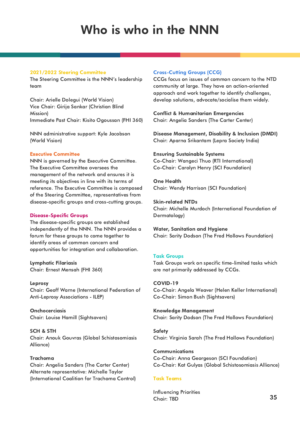# Who is who in the NNN

#### 2021/2022 Steering Committee

The Steering Committee is the NNN's leadership team

Chair: Arielle Dolegui (World Vision) Vice Chair: Girija Sankar (Christian Blind Mission) Immediate Past Chair: Kisito Ogoussan (FHI 360)

NNN administrative support: Kyle Jacobson (World Vision)

#### Executive Committee

NNN is governed by the Executive Committee. The Executive Committee oversees the management of the network and ensures it is meeting its objectives in line with its terms of reference. The Executive Committee is composed of the Steering Committee, representatives from disease-specific groups and cross-cutting groups.

#### Disease-Specific Groups

The disease-specific groups are established independently of the NNN. The NNN provides a forum for these groups to come together to identify areas of common concern and opportunities for integration and collaboration.

Lymphatic Filariasis Chair: Ernest Mensah (FHI 360)

Leprosy Chair: Geoff Warne (International Federation of Anti-Leprosy Associations - ILEP)

**Onchocerciasis** Chair: Louise Hamill (Sightsavers)

SCH & STH Chair: Anouk Gouvras (Global Schistosomiasis Alliance)

#### Trachoma

Chair: Angelia Sanders (The Carter Center) Alternate representative: Michelle Taylor (International Coalition for Trachoma Control)

#### Cross-Cutting Groups (CCG)

CCGs focus on issues of common concern to the NTD community at large. They have an action-oriented approach and work together to identify challenges, develop solutions, advocate/socialise them widely.

Conflict & Humanitarian Emergencies Chair: Angelia Sanders (The Carter Center)

Disease Management, Disability & Inclusion (DMDI) Chair: Aparna Srikantam (Lepra Society India)

#### Ensuring Sustainable Systems

Co-Chair: Wangeci Thuo (RTI International) Co-Chair: Carolyn Henry (SCI Foundation)

One Health Chair: Wendy Harrison (SCI Foundation)

Skin-related NTDs Chair: Michelle Murdoch (International Foundation of Dermatology)

Water, Sanitation and Hygiene Chair: Sarity Dodson (The Fred Hollows Foundation)

#### Task Groups

Task Groups work on specific time-limited tasks which are not primarily addressed by CCGs.

#### COVID-19

Co-Chair: Angela Weaver (Helen Keller International) Co-Chair: Simon Bush (Sightsavers)

Knowledge Management Chair: Sarity Dodson (The Fred Hollows Foundation)

**Safety** Chair: Virginia Sarah (The Fred Hollows Foundation)

**Communications** Co-Chair: Anna Georgeson (SCI Foundation) Co-Chair: Kat Gulyas (Global Schistosomiasis Alliance)

#### Task Teams

Influencing Priorities Chair: TBD 35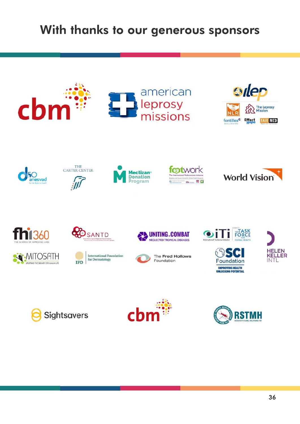# With thanks to our generous sponsors





MITOSATH

UPUITING THE DIGNTY OF HUMAN LIFE









UNITING "COMBAT









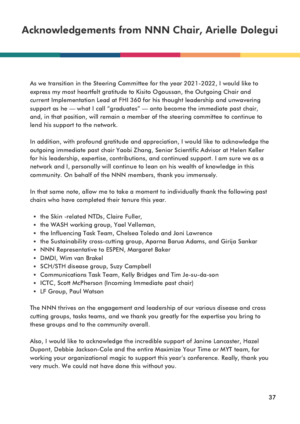As we transition in the Steering Committee for the year 2021-2022, I would like to express my most heartfelt gratitude to Kisito Ogoussan, the Outgoing Chair and current Implementation Lead at FHI 360 for his thought leadership and unwavering support as he — what I call "graduates" — onto become the immediate past chair, and, in that position, will remain a member of the steering committee to continue to lend his support to the network.

In addition, with profound gratitude and appreciation, I would like to acknowledge the outgoing immediate past chair Yaobi Zhang, Senior Scientific Advisor at Helen Keller for his leadership, expertise, contributions, and continued support. I am sure we as a network and I, personally will continue to lean on his wealth of knowledge in this community. On behalf of the NNN members, thank you immensely.

In that same note, allow me to take a moment to individually thank the following past chairs who have completed their tenure this year.

- the Skin -related NTDs, Claire Fuller,
- the WASH working group, Yael Velleman,
- the Influencing Task Team, Chelsea Toledo and Joni Lawrence
- the Sustainability cross-cutting group, Aparna Barua Adams, and Girija Sankar
- NNN Representative to ESPEN, Margaret Baker
- DMDI, Wim van Brakel
- SCH/STH disease group, Suzy Campbell
- Communications Task Team, Kelly Bridges and Tim Je-su-da-son
- ICTC, Scott McPherson (Incoming Immediate past chair)
- LF Group, Paul Watson

The NNN thrives on the engagement and leadership of our various disease and cross cutting groups, tasks teams, and we thank you greatly for the expertise you bring to these groups and to the community overall.

Also, I would like to acknowledge the incredible support of Janine Lancaster, Hazel Dupont, Debbie Jackson-Cole and the entire Maximize Your Time or MYT team, for working your organizational magic to support this year's conference. Really, thank you very much. We could not have done this without you.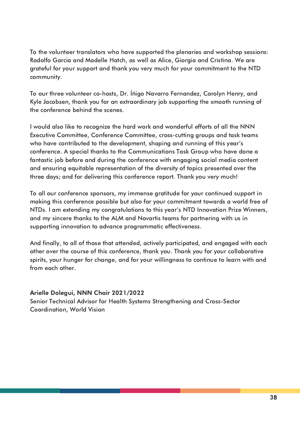To the volunteer translators who have supported the plenaries and workshop sessions: Rodolfo Garcia and Madelle Hatch, as well as Alice, Giorgia and Cristina. We are grateful for your support and thank you very much for your commitment to the NTD community.

To our three volunteer co-hosts, Dr. Íñigo Navarro Fernandez, Carolyn Henry, and Kyle Jacobsen, thank you for an extraordinary job supporting the smooth running of the conference behind the scenes.

I would also like to recognize the hard work and wonderful efforts of all the NNN Executive Committee, Conference Committee, cross-cutting groups and task teams who have contributed to the development, shaping and running of this year's conference. A special thanks to the Communications Task Group who have done a fantastic job before and during the conference with engaging social media content and ensuring equitable representation of the diversity of topics presented over the three days; and for delivering this conference report. Thank you very much!

To all our conference sponsors, my immense gratitude for your continued support in making this conference possible but also for your commitment towards a world free of NTDs. I am extending my congratulations to this year's NTD Innovation Prize Winners, and my sincere thanks to the ALM and Novartis teams for partnering with us in supporting innovation to advance programmatic effectiveness.

And finally, to all of those that attended, actively participated, and engaged with each other over the course of this conference, thank you. Thank you for your collaborative spirits, your hunger for change, and for your willingness to continue to learn with and from each other.

Arielle Dolegui, NNN Chair 2021/2022 Senior Technical Advisor for Health Systems Strengthening and Cross-Sector Coordination, World Vision